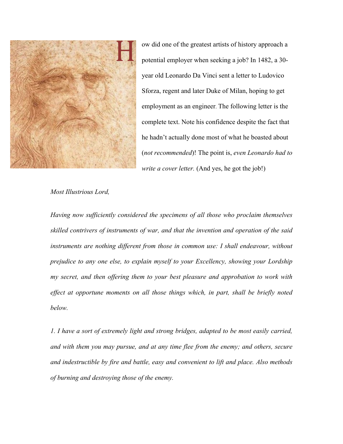

ow did one of the greatest artists of history approach a potential employer when seeking a job? In 1482, a 30 year old Leonardo Da Vinci sent a letter to Ludovico Sforza, regent and later Duke of Milan, hoping to get employment as an engineer. The following letter is the complete text. Note his confidence despite the fact that he hadn't actually done most of what he boasted about (*not recommended*)! The point is, *even Leonardo had to write a cover letter.* (And yes, he got the job!)

## *Most Illustrious Lord,*

*Having now sufficiently considered the specimens of all those who proclaim themselves skilled contrivers of instruments of war, and that the invention and operation of the said instruments are nothing different from those in common use: I shall endeavour, without prejudice to any one else, to explain myself to your Excellency, showing your Lordship my secret, and then offering them to your best pleasure and approbation to work with*  effect at opportune moments on all those things which, in part, shall be briefly noted *below.*

*1. I have a sort of extremely light and strong bridges, adapted to be most easily carried, and with them you may pursue, and at any time flee from the enemy; and others, secure and indestructible by fire and battle, easy and convenient to lift and place. Also methods of burning and destroying those of the enemy.*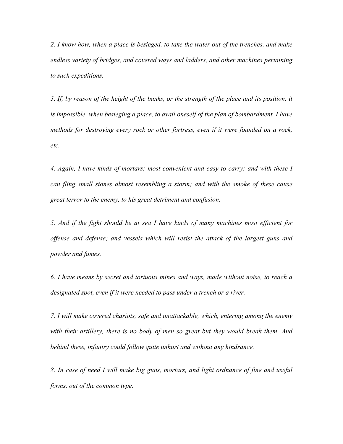*2. I know how, when a place is besieged, to take the water out of the trenches, and make endless variety of bridges, and covered ways and ladders, and other machines pertaining to such expeditions.*

*3. If, by reason of the height of the banks, or the strength of the place and its position, it is impossible, when besieging a place, to avail oneself of the plan of bombardment, I have methods for destroying every rock or other fortress, even if it were founded on a rock, etc.*

*4. Again, I have kinds of mortars; most convenient and easy to carry; and with these I can fling small stones almost resembling a storm; and with the smoke of these cause great terror to the enemy, to his great detriment and confusion.*

*5. And if the fight should be at sea I have kinds of many machines most efficient for offense and defense; and vessels which will resist the attack of the largest guns and powder and fumes.*

*6. I have means by secret and tortuous mines and ways, made without noise, to reach a designated spot, even if it were needed to pass under a trench or a river.*

*7. I will make covered chariots, safe and unattackable, which, entering among the enemy with their artillery, there is no body of men so great but they would break them. And behind these, infantry could follow quite unhurt and without any hindrance.*

*8. In case of need I will make big guns, mortars, and light ordnance of fine and useful forms, out of the common type.*